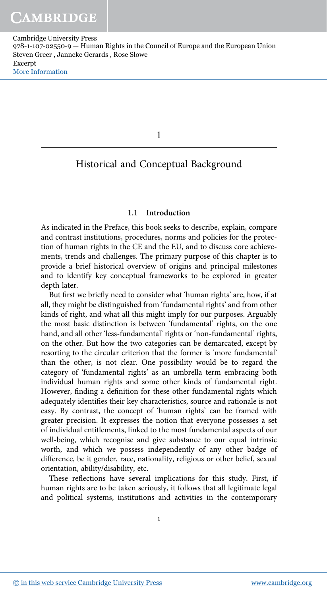1

# Historical and Conceptual Background

# **1.1 Introduction**

As indicated in the Preface, this book seeks to describe, explain, compare and contrast institutions, procedures, norms and policies for the protection of human rights in the CE and the EU, and to discuss core achievements, trends and challenges. The primary purpose of this chapter is to provide a brief historical overview of origins and principal milestones and to identify key conceptual frameworks to be explored in greater depth later.

But first we briefly need to consider what 'human rights' are, how, if at all, they might be distinguished from 'fundamental rights' and from other kinds of right, and what all this might imply for our purposes. Arguably the most basic distinction is between 'fundamental' rights, on the one hand, and all other 'less-fundamental' rights or 'non-fundamental' rights, on the other. But how the two categories can be demarcated, except by resorting to the circular criterion that the former is 'more fundamental' than the other, is not clear. One possibility would be to regard the category of 'fundamental rights' as an umbrella term embracing both individual human rights and some other kinds of fundamental right. However, finding a definition for these other fundamental rights which adequately identifies their key characteristics, source and rationale is not easy. By contrast, the concept of 'human rights' can be framed with greater precision. It expresses the notion that everyone possesses a set of individual entitlements, linked to the most fundamental aspects of our well-being, which recognise and give substance to our equal intrinsic worth, and which we possess independently of any other badge of difference, be it gender, race, nationality, religious or other belief, sexual orientation, ability/disability, etc.

These reflections have several implications for this study. First, if human rights are to be taken seriously, it follows that all legitimate legal and political systems, institutions and activities in the contemporary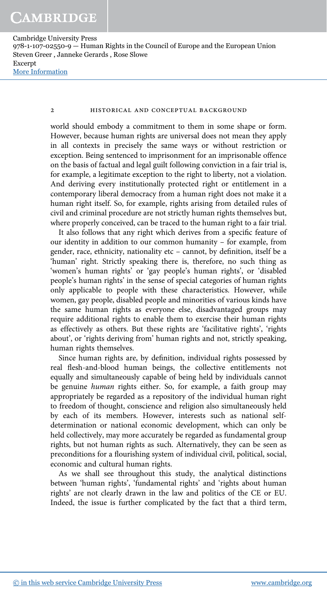#### 2 HISTORICAL AND CONCEPTUAL BACKGROUND

world should embody a commitment to them in some shape or form. However, because human rights are universal does not mean they apply in all contexts in precisely the same ways or without restriction or exception. Being sentenced to imprisonment for an imprisonable offence on the basis of factual and legal guilt following conviction in a fair trial is, for example, a legitimate exception to the right to liberty, not a violation. And deriving every institutionally protected right or entitlement in a contemporary liberal democracy from a human right does not make it a human right itself. So, for example, rights arising from detailed rules of civil and criminal procedure are not strictly human rights themselves but, where properly conceived, can be traced to the human right to a fair trial.

It also follows that any right which derives from a specific feature of our identity in addition to our common humanity – for example, from gender, race, ethnicity, nationality etc – cannot, by definition, itself be a 'human' right. Strictly speaking there is, therefore, no such thing as 'women's human rights' or 'gay people's human rights', or 'disabled people's human rights' in the sense of special categories of human rights only applicable to people with these characteristics. However, while women, gay people, disabled people and minorities of various kinds have the same human rights as everyone else, disadvantaged groups may require additional rights to enable them to exercise their human rights as effectively as others. But these rights are 'facilitative rights', 'rights about', or 'rights deriving from' human rights and not, strictly speaking, human rights themselves.

Since human rights are, by definition, individual rights possessed by real flesh-and-blood human beings, the collective entitlements not equally and simultaneously capable of being held by individuals cannot be genuine *human* rights either. So, for example, a faith group may appropriately be regarded as a repository of the individual human right to freedom of thought, conscience and religion also simultaneously held by each of its members. However, interests such as national selfdetermination or national economic development, which can only be held collectively, may more accurately be regarded as fundamental group rights, but not human rights as such. Alternatively, they can be seen as preconditions for a flourishing system of individual civil, political, social, economic and cultural human rights.

As we shall see throughout this study, the analytical distinctions between 'human rights', 'fundamental rights' and 'rights about human rights' are not clearly drawn in the law and politics of the CE or EU. Indeed, the issue is further complicated by the fact that a third term,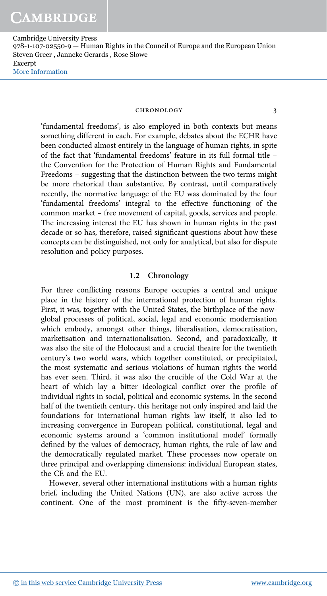## CHRONOLOGY 3

'fundamental freedoms', is also employed in both contexts but means something different in each. For example, debates about the ECHR have been conducted almost entirely in the language of human rights, in spite of the fact that 'fundamental freedoms' feature in its full formal title – the Convention for the Protection of Human Rights and Fundamental Freedoms – suggesting that the distinction between the two terms might be more rhetorical than substantive. By contrast, until comparatively recently, the normative language of the EU was dominated by the four 'fundamental freedoms' integral to the effective functioning of the common market – free movement of capital, goods, services and people. The increasing interest the EU has shown in human rights in the past decade or so has, therefore, raised significant questions about how these concepts can be distinguished, not only for analytical, but also for dispute resolution and policy purposes.

# **1.2 Chronology**

For three conflicting reasons Europe occupies a central and unique place in the history of the international protection of human rights. First, it was, together with the United States, the birthplace of the nowglobal processes of political, social, legal and economic modernisation which embody, amongst other things, liberalisation, democratisation, marketisation and internationalisation. Second, and paradoxically, it was also the site of the Holocaust and a crucial theatre for the twentieth century's two world wars, which together constituted, or precipitated, the most systematic and serious violations of human rights the world has ever seen. Third, it was also the crucible of the Cold War at the heart of which lay a bitter ideological conflict over the profile of individual rights in social, political and economic systems. In the second half of the twentieth century, this heritage not only inspired and laid the foundations for international human rights law itself, it also led to increasing convergence in European political, constitutional, legal and economic systems around a 'common institutional model' formally defined by the values of democracy, human rights, the rule of law and the democratically regulated market. These processes now operate on three principal and overlapping dimensions: individual European states, the CE and the EU.

However, several other international institutions with a human rights brief, including the United Nations (UN), are also active across the continent. One of the most prominent is the fifty-seven-member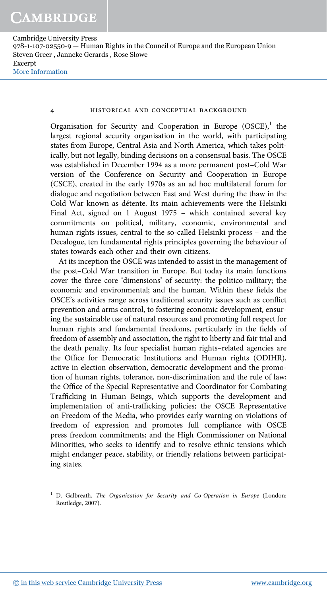4 HISTORICAL AND CONCEPTUAL BACKGROUND

Organisation for Security and Cooperation in Europe  $(OSCE)$ ,<sup>1</sup> the largest regional security organisation in the world, with participating states from Europe, Central Asia and North America, which takes politically, but not legally, binding decisions on a consensual basis. The OSCE was established in December 1994 as a more permanent post–Cold War version of the Conference on Security and Cooperation in Europe (CSCE), created in the early 1970s as an ad hoc multilateral forum for dialogue and negotiation between East and West during the thaw in the Cold War known as détente. Its main achievements were the Helsinki Final Act, signed on 1 August 1975 – which contained several key commitments on political, military, economic, environmental and human rights issues, central to the so-called Helsinki process – and the Decalogue, ten fundamental rights principles governing the behaviour of states towards each other and their own citizens.

At its inception the OSCE was intended to assist in the management of the post–Cold War transition in Europe. But today its main functions cover the three core 'dimensions' of security: the politico-military; the economic and environmental; and the human. Within these fields the OSCE's activities range across traditional security issues such as conflict prevention and arms control, to fostering economic development, ensuring the sustainable use of natural resources and promoting full respect for human rights and fundamental freedoms, particularly in the fields of freedom of assembly and association, the right to liberty and fair trial and the death penalty. Its four specialist human rights–related agencies are the Office for Democratic Institutions and Human rights (ODIHR), active in election observation, democratic development and the promotion of human rights, tolerance, non-discrimination and the rule of law; the Office of the Special Representative and Coordinator for Combating Trafficking in Human Beings, which supports the development and implementation of anti-trafficking policies; the OSCE Representative on Freedom of the Media, who provides early warning on violations of freedom of expression and promotes full compliance with OSCE press freedom commitments; and the High Commissioner on National Minorities, who seeks to identify and to resolve ethnic tensions which might endanger peace, stability, or friendly relations between participating states.

<sup>1</sup> D. Galbreath, *The Organization for Security and Co-Operation in Europe* (London: Routledge, 2007).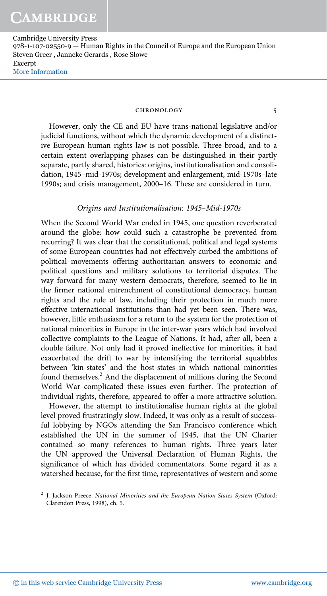## CHRONOLOGY 5

However, only the CE and EU have trans-national legislative and/or judicial functions, without which the dynamic development of a distinctive European human rights law is not possible. Three broad, and to a certain extent overlapping phases can be distinguished in their partly separate, partly shared, histories: origins, institutionalisation and consolidation, 1945–mid-1970s; development and enlargement, mid-1970s–late 1990s; and crisis management, 2000–16. These are considered in turn.

## *Origins and Institutionalisation: 1945*–*Mid-1970s*

When the Second World War ended in 1945, one question reverberated around the globe: how could such a catastrophe be prevented from recurring? It was clear that the constitutional, political and legal systems of some European countries had not effectively curbed the ambitions of political movements offering authoritarian answers to economic and political questions and military solutions to territorial disputes. The way forward for many western democrats, therefore, seemed to lie in the firmer national entrenchment of constitutional democracy, human rights and the rule of law, including their protection in much more effective international institutions than had yet been seen. There was, however, little enthusiasm for a return to the system for the protection of national minorities in Europe in the inter-war years which had involved collective complaints to the League of Nations. It had, after all, been a double failure. Not only had it proved ineffective for minorities, it had exacerbated the drift to war by intensifying the territorial squabbles between 'kin-states' and the host-states in which national minorities found themselves.<sup>2</sup> And the displacement of millions during the Second World War complicated these issues even further. The protection of individual rights, therefore, appeared to offer a more attractive solution.

However, the attempt to institutionalise human rights at the global level proved frustratingly slow. Indeed, it was only as a result of successful lobbying by NGOs attending the San Francisco conference which established the UN in the summer of 1945, that the UN Charter contained so many references to human rights. Three years later the UN approved the Universal Declaration of Human Rights, the significance of which has divided commentators. Some regard it as a watershed because, for the first time, representatives of western and some

<sup>2</sup> J. Jackson Preece, *National Minorities and the European Nation-States System* (Oxford: Clarendon Press, 1998), ch. 5.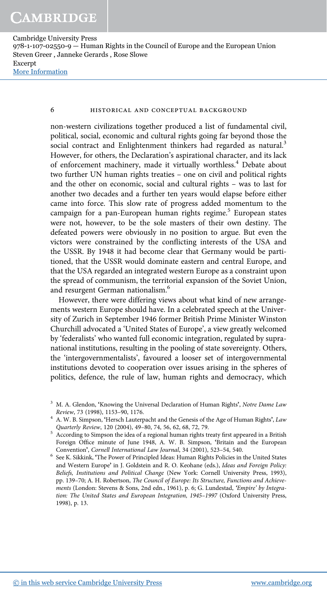6 HISTORICAL AND CONCEPTUAL BACKGROUND

non-western civilizations together produced a list of fundamental civil, political, social, economic and cultural rights going far beyond those the social contract and Enlightenment thinkers had regarded as natural.<sup>3</sup> However, for others, the Declaration's aspirational character, and its lack of enforcement machinery, made it virtually worthless.<sup>4</sup> Debate about two further UN human rights treaties – one on civil and political rights and the other on economic, social and cultural rights – was to last for another two decades and a further ten years would elapse before either came into force. This slow rate of progress added momentum to the campaign for a pan-European human rights regime.<sup>5</sup> European states were not, however, to be the sole masters of their own destiny. The defeated powers were obviously in no position to argue. But even the victors were constrained by the conflicting interests of the USA and the USSR. By 1948 it had become clear that Germany would be partitioned, that the USSR would dominate eastern and central Europe, and that the USA regarded an integrated western Europe as a constraint upon the spread of communism, the territorial expansion of the Soviet Union, and resurgent German nationalism.<sup>6</sup>

However, there were differing views about what kind of new arrangements western Europe should have. In a celebrated speech at the University of Zurich in September 1946 former British Prime Minister Winston Churchill advocated a 'United States of Europe', a view greatly welcomed by 'federalists' who wanted full economic integration, regulated by supranational institutions, resulting in the pooling of state sovereignty. Others, the 'intergovernmentalists', favoured a looser set of intergovernmental institutions devoted to cooperation over issues arising in the spheres of politics, defence, the rule of law, human rights and democracy, which

<sup>3</sup> M. A. Glendon, **'**Knowing the Universal Declaration of Human Rights**'**, *Notre Dame Law Review*, 73 (1998), 1153–90, 1176.

- <sup>5</sup> According to Simpson the idea of a regional human rights treaty first appeared in a British Foreign Office minute of June 1948, A. W. B. Simpson, **'**Britain and the European Convention**'**, *Cornell International Law Journal*, 34 (2001), 523–54, 540.
- 6 See K. Sikkink, **'**The Power of Principled Ideas: Human Rights Policies in the United States and Western Europe**'** in J. Goldstein and R. O. Keohane (eds.), *Ideas and Foreign Policy: Beliefs, Institutions and Political Change* (New York: Cornell University Press, 1993), pp. 139–70; A. H. Robertson, *The Council of Europe: Its Structure, Functions and Achievements* (London: Stevens & Sons, 2nd edn., 1961), p. 6; G. Lundestad, **'***Empire*' *by Integration: The United States and European Integration, 1945*–*1997* (Oxford University Press, 1998), p. 13.

<sup>4</sup> A. W. B. Simpson, **'**Hersch Lauterpacht and the Genesis of the Age of Human Rights**'**, *Law Quarterly Review*, 120 (2004), 49–80, 74, 56, 62, 68, 72, 79.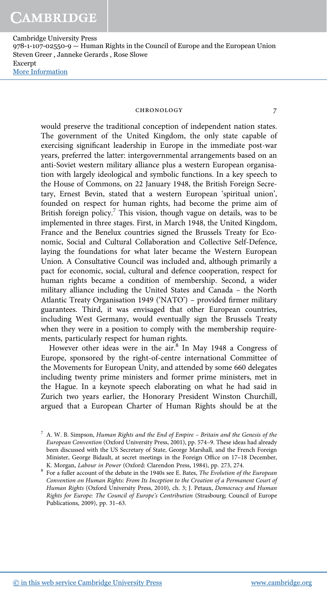### CHRONOLOGY 7

would preserve the traditional conception of independent nation states. The government of the United Kingdom, the only state capable of exercising significant leadership in Europe in the immediate post-war years, preferred the latter: intergovernmental arrangements based on an anti-Soviet western military alliance plus a western European organisation with largely ideological and symbolic functions. In a key speech to the House of Commons, on 22 January 1948, the British Foreign Secretary, Ernest Bevin, stated that a western European 'spiritual union', founded on respect for human rights, had become the prime aim of British foreign policy.<sup>7</sup> This vision, though vague on details, was to be implemented in three stages. First, in March 1948, the United Kingdom, France and the Benelux countries signed the Brussels Treaty for Economic, Social and Cultural Collaboration and Collective Self-Defence, laying the foundations for what later became the Western European Union. A Consultative Council was included and, although primarily a pact for economic, social, cultural and defence cooperation, respect for human rights became a condition of membership. Second, a wider military alliance including the United States and Canada – the North Atlantic Treaty Organisation 1949 ('NATO') – provided firmer military guarantees. Third, it was envisaged that other European countries, including West Germany, would eventually sign the Brussels Treaty when they were in a position to comply with the membership requirements, particularly respect for human rights.

However other ideas were in the air.<sup>8</sup> In May 1948 a Congress of Europe, sponsored by the right-of-centre international Committee of the Movements for European Unity, and attended by some 660 delegates including twenty prime ministers and former prime ministers, met in the Hague. In a keynote speech elaborating on what he had said in Zurich two years earlier, the Honorary President Winston Churchill, argued that a European Charter of Human Rights should be at the

 $7\,$  A. W. B. Simpson, Human Rights and the End of Empire – Britain and the Genesis of the *European Convention* (Oxford University Press, 2001), pp. 574–9. These ideas had already been discussed with the US Secretary of State, George Marshall, and the French Foreign Minister, George Bidault, at secret meetings in the Foreign Office on 17**–**18 December, K. Morgan, *Labour in Power* (Oxford: Clarendon Press, 1984), pp. 273, 274.

<sup>8</sup> For a fuller account of the debate in the 1940s see E. Bates, *The Evolution of the European* Convention on Human Rights: From Its Inception to the Creation of a Permanent Court of *Human Rights* (Oxford University Press, 2010), ch. 3; J. Petaux, *Democracy and Human Rights for Europe: The Council of Europe*'*s Contribution* (Strasbourg; Council of Europe Publications, 2009), pp. 31–63.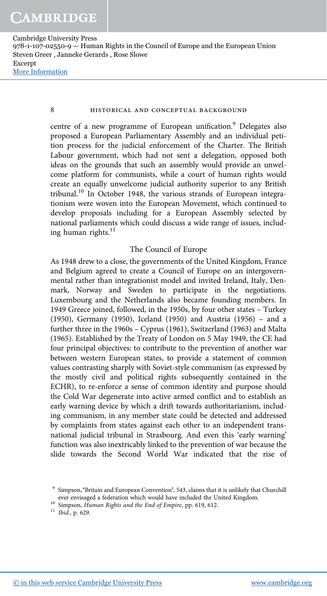8 HISTORICAL AND CONCEPTUAL BACKGROUND

centre of a new programme of European unification.<sup>9</sup> Delegates also proposed a European Parliamentary Assembly and an individual petition process for the judicial enforcement of the Charter. The British Labour government, which had not sent a delegation, opposed both ideas on the grounds that such an assembly would provide an unwelcome platform for communists, while a court of human rights would create an equally unwelcome judicial authority superior to any British tribunal.<sup>10</sup> In October 1948, the various strands of European integrationism were woven into the European Movement, which continued to develop proposals including for a European Assembly selected by national parliaments which could discuss a wide range of issues, including human rights.<sup>11</sup>

## The Council of Europe

As 1948 drew to a close, the governments of the United Kingdom, France and Belgium agreed to create a Council of Europe on an intergovernmental rather than integrationist model and invited Ireland, Italy, Denmark, Norway and Sweden to participate in the negotiations. Luxembourg and the Netherlands also became founding members. In 1949 Greece joined, followed, in the 1950s, by four other states – Turkey (1950), Germany (1950), Iceland (1950) and Austria (1956) – and a further three in the 1960s – Cyprus (1961), Switzerland (1963) and Malta (1965). Established by the Treaty of London on 5 May 1949, the CE had four principal objectives: to contribute to the prevention of another war between western European states, to provide a statement of common values contrasting sharply with Soviet-style communism (as expressed by the mostly civil and political rights subsequently contained in the ECHR), to re-enforce a sense of common identity and purpose should the Cold War degenerate into active armed conflict and to establish an early warning device by which a drift towards authoritarianism, including communism, in any member state could be detected and addressed by complaints from states against each other to an independent transnational judicial tribunal in Strasbourg. And even this 'early warning' function was also inextricably linked to the prevention of war because the slide towards the Second World War indicated that the rise of

<sup>9</sup> Simpson, **'**Britain and European Convention**'**, 543, claims that it is unlikely that Churchill ever envisaged a federation which would have included the United Kingdom.

<sup>10</sup> Simpson, *Human Rights and the End of Empire*, pp. 619, 612.

<sup>11</sup> *Ibid.*, p. 629.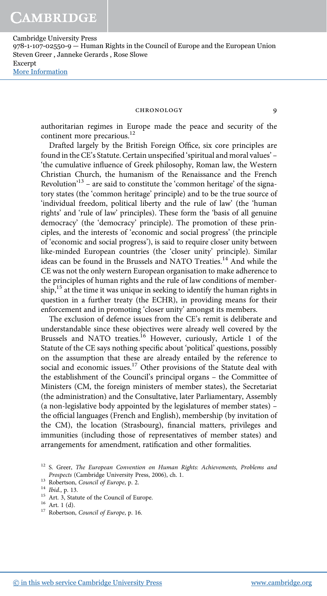### CHRONOLOGY 9

authoritarian regimes in Europe made the peace and security of the continent more precarious.<sup>12</sup>

Drafted largely by the British Foreign Office, six core principles are found in the CE's Statute. Certain unspecified 'spiritual and moral values' – 'the cumulative influence of Greek philosophy, Roman law, the Western Christian Church, the humanism of the Renaissance and the French Revolution<sup>13</sup> - are said to constitute the 'common heritage' of the signatory states (the 'common heritage' principle) and to be the true source of 'individual freedom, political liberty and the rule of law' (the 'human rights' and 'rule of law' principles). These form the 'basis of all genuine democracy' (the 'democracy' principle). The promotion of these principles, and the interests of 'economic and social progress' (the principle of 'economic and social progress'), is said to require closer unity between like-minded European countries (the 'closer unity' principle). Similar ideas can be found in the Brussels and NATO Treaties.<sup>14</sup> And while the CE was not the only western European organisation to make adherence to the principles of human rights and the rule of law conditions of membership, $15$  at the time it was unique in seeking to identify the human rights in question in a further treaty (the ECHR), in providing means for their enforcement and in promoting 'closer unity' amongst its members.

The exclusion of defence issues from the CE's remit is deliberate and understandable since these objectives were already well covered by the Brussels and NATO treaties.<sup>16</sup> However, curiously, Article 1 of the Statute of the CE says nothing specific about 'political' questions, possibly on the assumption that these are already entailed by the reference to social and economic issues.<sup>17</sup> Other provisions of the Statute deal with the establishment of the Council's principal organs – the Committee of Ministers (CM, the foreign ministers of member states), the Secretariat (the administration) and the Consultative, later Parliamentary, Assembly (a non-legislative body appointed by the legislatures of member states) – the official languages (French and English), membership (by invitation of the CM), the location (Strasbourg), financial matters, privileges and immunities (including those of representatives of member states) and arrangements for amendment, ratification and other formalities.

<sup>13</sup> Robertson, *Council of Europe*, p. 2.

<sup>17</sup> Robertson, *Council of Europe*, p. 16.

<sup>12</sup> S. Greer, *The European Convention on Human Rights: Achievements, Problems and Prospects* (Cambridge University Press, 2006), ch. 1.

<sup>14</sup> *Ibid.*, p. 13.

<sup>&</sup>lt;sup>15</sup> Art. 3, Statute of the Council of Europe.

 $16$  Art. 1 (d).